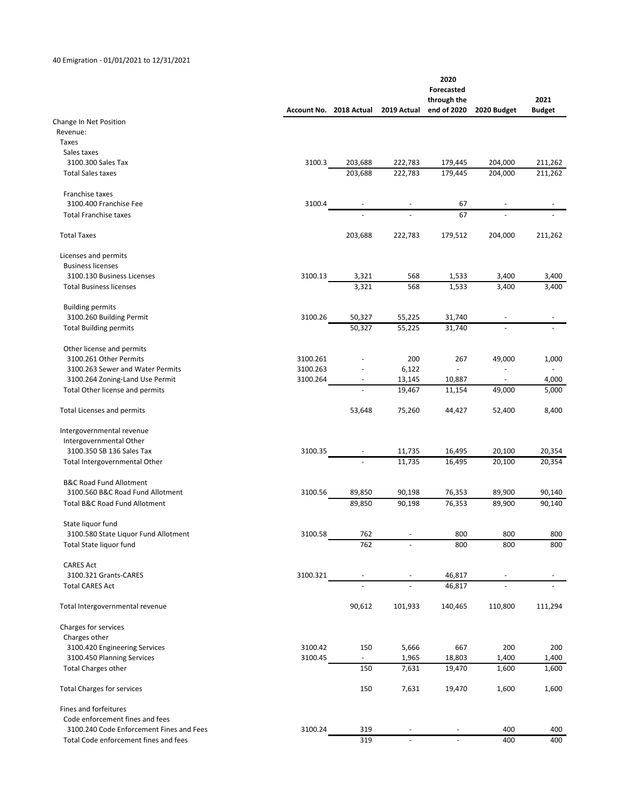## 40 Emigration ‐ 01/01/2021 to 12/31/2021

|                                                                    |          | Account No. 2018 Actual | 2019 Actual      | 2020<br>Forecasted<br>through the<br>end of 2020 | 2020 Budget              | 2021<br><b>Budget</b> |
|--------------------------------------------------------------------|----------|-------------------------|------------------|--------------------------------------------------|--------------------------|-----------------------|
| Change In Net Position                                             |          |                         |                  |                                                  |                          |                       |
| Revenue:                                                           |          |                         |                  |                                                  |                          |                       |
| Taxes                                                              |          |                         |                  |                                                  |                          |                       |
| Sales taxes                                                        |          |                         |                  |                                                  |                          |                       |
| 3100.300 Sales Tax                                                 | 3100.3   | 203,688                 | 222,783          | 179,445                                          | 204,000                  | 211,262               |
| <b>Total Sales taxes</b>                                           |          | 203,688                 | 222,783          | 179,445                                          | 204,000                  | 211,262               |
| Franchise taxes                                                    |          |                         |                  |                                                  |                          |                       |
| 3100.400 Franchise Fee<br><b>Total Franchise taxes</b>             | 3100.4   |                         |                  | 67<br>67                                         |                          |                       |
| <b>Total Taxes</b>                                                 |          | 203,688                 | 222,783          | 179,512                                          | 204,000                  | 211,262               |
| Licenses and permits                                               |          |                         |                  |                                                  |                          |                       |
| <b>Business licenses</b>                                           |          |                         |                  |                                                  |                          |                       |
| 3100.130 Business Licenses                                         | 3100.13  | 3,321                   | 568              | 1,533                                            | 3,400                    | 3,400                 |
| <b>Total Business licenses</b>                                     |          | 3,321                   | 568              | 1,533                                            | 3,400                    | 3,400                 |
| <b>Building permits</b>                                            |          |                         |                  |                                                  |                          |                       |
| 3100.260 Building Permit                                           | 3100.26  | 50,327                  | 55,225           | 31,740                                           |                          |                       |
| <b>Total Building permits</b>                                      |          | 50,327                  | 55,225           | 31,740                                           |                          |                       |
| Other license and permits                                          |          |                         |                  |                                                  |                          |                       |
| 3100.261 Other Permits                                             | 3100.261 |                         | 200              | 267                                              | 49,000                   | 1,000                 |
| 3100.263 Sewer and Water Permits                                   | 3100.263 |                         | 6,122            | $\Box$                                           | $\overline{\phantom{m}}$ |                       |
| 3100.264 Zoning-Land Use Permit<br>Total Other license and permits | 3100.264 | $\overline{a}$          | 13,145<br>19,467 | 10,887<br>11,154                                 | 49,000                   | 4,000<br>5,000        |
|                                                                    |          |                         |                  |                                                  |                          |                       |
| <b>Total Licenses and permits</b>                                  |          | 53,648                  | 75,260           | 44,427                                           | 52,400                   | 8,400                 |
| Intergovernmental revenue                                          |          |                         |                  |                                                  |                          |                       |
| Intergovernmental Other                                            |          |                         |                  |                                                  |                          |                       |
| 3100.350 SB 136 Sales Tax                                          | 3100.35  |                         | 11,735           | 16,495                                           | 20,100                   | 20,354                |
| Total Intergovernmental Other                                      |          |                         | 11,735           | 16,495                                           | 20,100                   | 20,354                |
| <b>B&amp;C Road Fund Allotment</b>                                 |          |                         |                  |                                                  |                          |                       |
| 3100.560 B&C Road Fund Allotment                                   | 3100.56  | 89,850                  | 90,198           | 76,353                                           | 89,900                   | 90,140                |
| <b>Total B&amp;C Road Fund Allotment</b>                           |          | 89,850                  | 90,198           | 76,353                                           | 89,900                   | 90,140                |
| State liquor fund                                                  |          |                         |                  |                                                  |                          |                       |
| 3100.580 State Liquor Fund Allotment<br>Total State liquor fund    | 3100.58  | 762<br>762              |                  | 800<br>800                                       | 800<br>800               | 800<br>800            |
|                                                                    |          |                         |                  |                                                  |                          |                       |
| <b>CARES Act</b>                                                   |          |                         |                  |                                                  |                          |                       |
| 3100.321 Grants-CARES                                              | 3100.321 |                         |                  | 46,817                                           |                          |                       |
| <b>Total CARES Act</b>                                             |          |                         |                  | 46,817                                           |                          |                       |
| Total Intergovernmental revenue                                    |          | 90,612                  | 101,933          | 140,465                                          | 110,800                  | 111,294               |
| Charges for services                                               |          |                         |                  |                                                  |                          |                       |
| Charges other                                                      |          |                         |                  |                                                  |                          |                       |
| 3100.420 Engineering Services                                      | 3100.42  | 150                     | 5,666            | 667                                              | 200                      | 200                   |
| 3100.450 Planning Services                                         | 3100.45  | $\sim$                  | 1,965            | 18,803                                           | 1,400                    | 1,400                 |
| <b>Total Charges other</b>                                         |          | 150                     | 7,631            | 19,470                                           | 1,600                    | 1,600                 |
| <b>Total Charges for services</b>                                  |          | 150                     | 7,631            | 19,470                                           | 1,600                    | 1,600                 |
| Fines and forfeitures                                              |          |                         |                  |                                                  |                          |                       |
| Code enforcement fines and fees                                    |          |                         |                  |                                                  |                          |                       |
| 3100.240 Code Enforcement Fines and Fees                           | 3100.24  | 319                     |                  |                                                  | 400                      | 400                   |
| Total Code enforcement fines and fees                              |          | 319                     | $\omega$         | $\blacksquare$                                   | 400                      | 400                   |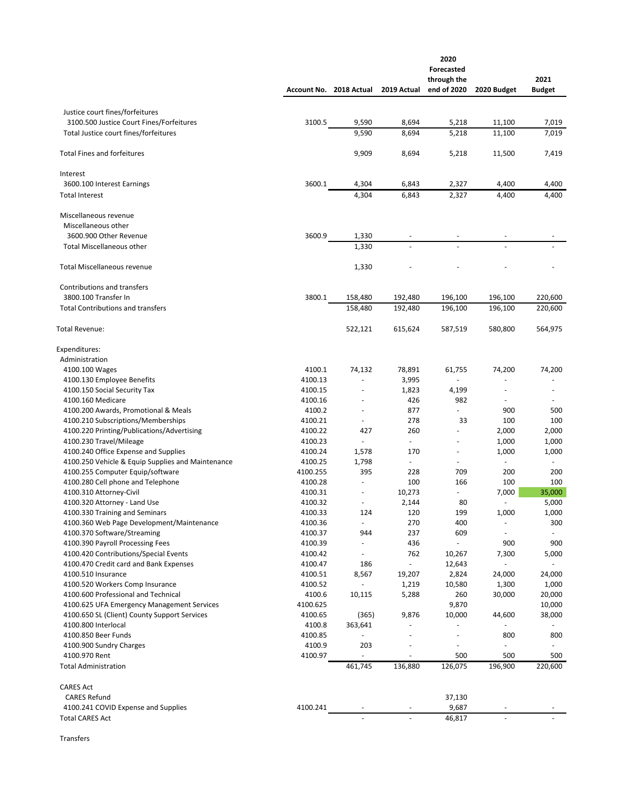|                                                                                 |                    |                                | 2020<br><b>Forecasted</b><br>through the |                          |                          |               |
|---------------------------------------------------------------------------------|--------------------|--------------------------------|------------------------------------------|--------------------------|--------------------------|---------------|
|                                                                                 | Account No.        | 2018 Actual                    | 2019 Actual                              | end of 2020              | 2020 Budget              | <b>Budget</b> |
|                                                                                 |                    |                                |                                          |                          |                          |               |
| Justice court fines/forfeitures<br>3100.500 Justice Court Fines/Forfeitures     | 3100.5             | 9,590                          | 8,694                                    | 5,218                    | 11,100                   | 7,019         |
| Total Justice court fines/forfeitures                                           |                    | 9,590                          | 8,694                                    | 5,218                    | 11,100                   | 7,019         |
|                                                                                 |                    |                                |                                          |                          |                          |               |
| <b>Total Fines and forfeitures</b>                                              |                    | 9,909                          | 8,694                                    | 5,218                    | 11,500                   | 7,419         |
| Interest                                                                        |                    |                                |                                          |                          |                          |               |
| 3600.100 Interest Earnings                                                      | 3600.1             | 4,304                          | 6,843                                    | 2,327                    | 4,400                    | 4,400         |
| <b>Total Interest</b>                                                           |                    | 4,304                          | 6,843                                    | 2,327                    | 4,400                    | 4,400         |
| Miscellaneous revenue                                                           |                    |                                |                                          |                          |                          |               |
| Miscellaneous other                                                             |                    |                                |                                          |                          |                          |               |
| 3600.900 Other Revenue                                                          | 3600.9             | 1,330                          |                                          |                          |                          |               |
| <b>Total Miscellaneous other</b>                                                |                    | 1,330                          |                                          |                          |                          |               |
| <b>Total Miscellaneous revenue</b>                                              |                    | 1,330                          |                                          |                          |                          |               |
| Contributions and transfers                                                     |                    |                                |                                          |                          |                          |               |
| 3800.100 Transfer In                                                            | 3800.1             | 158,480                        | 192,480                                  | 196,100                  | 196,100                  | 220,600       |
| <b>Total Contributions and transfers</b>                                        |                    | 158.480                        | 192,480                                  | 196,100                  | 196,100                  | 220,600       |
| <b>Total Revenue:</b>                                                           |                    | 522,121                        | 615,624                                  | 587,519                  | 580,800                  | 564,975       |
| Expenditures:                                                                   |                    |                                |                                          |                          |                          |               |
| Administration                                                                  |                    |                                |                                          |                          |                          |               |
| 4100.100 Wages                                                                  | 4100.1             | 74,132                         | 78,891                                   | 61,755                   | 74,200                   | 74,200        |
| 4100.130 Employee Benefits                                                      | 4100.13            | ä,                             | 3,995                                    |                          |                          |               |
| 4100.150 Social Security Tax                                                    | 4100.15            | ÷,<br>÷.                       | 1,823                                    | 4,199                    | L,                       | ٠             |
| 4100.160 Medicare<br>4100.200 Awards, Promotional & Meals                       | 4100.16<br>4100.2  | $\sim$                         | 426<br>877                               | 982<br>$\overline{a}$    | 900                      | 500           |
| 4100.210 Subscriptions/Memberships                                              | 4100.21            | $\omega$                       | 278                                      | 33                       | 100                      | 100           |
| 4100.220 Printing/Publications/Advertising                                      | 4100.22            | 427                            | 260                                      | ÷                        | 2,000                    | 2,000         |
| 4100.230 Travel/Mileage                                                         | 4100.23            | $\bar{\phantom{a}}$            | $\sim$                                   | $\bar{a}$                | 1,000                    | 1,000         |
| 4100.240 Office Expense and Supplies                                            | 4100.24            | 1,578                          | 170                                      | $\overline{\phantom{a}}$ | 1,000                    | 1,000         |
| 4100.250 Vehicle & Equip Supplies and Maintenance                               | 4100.25            | 1,798                          | $\sim$                                   | $\blacksquare$           |                          |               |
| 4100.255 Computer Equip/software                                                | 4100.255           | 395                            | 228                                      | 709                      | 200                      | 200           |
| 4100.280 Cell phone and Telephone                                               | 4100.28            | $\overline{\phantom{a}}$       | 100                                      | 166                      | 100                      | 100           |
| 4100.310 Attorney-Civil                                                         | 4100.31            | ä,                             | 10,273                                   | $\overline{\phantom{a}}$ | 7,000                    | 35,000        |
| 4100.320 Attorney - Land Use                                                    | 4100.32            | $\overline{\phantom{a}}$       | 2,144                                    | 80                       | ÷,                       | 5,000         |
| 4100.330 Training and Seminars                                                  | 4100.33            | 124                            | 120                                      | 199                      | 1,000                    | 1,000         |
| 4100.360 Web Page Development/Maintenance                                       | 4100.36            | $\overline{\phantom{a}}$       | 270                                      | 400                      |                          | 300           |
| 4100.370 Software/Streaming                                                     | 4100.37            | 944                            | 237                                      | 609                      |                          |               |
| 4100.390 Payroll Processing Fees                                                | 4100.39            | $\overline{\phantom{a}}$<br>÷, | 436                                      | ÷,                       | 900                      | 900           |
| 4100.420 Contributions/Special Events<br>4100.470 Credit card and Bank Expenses | 4100.42<br>4100.47 | 186                            | 762<br>$\blacksquare$                    | 10,267<br>12,643         | 7,300                    | 5,000         |
| 4100.510 Insurance                                                              | 4100.51            | 8,567                          | 19,207                                   | 2,824                    | 24,000                   | 24,000        |
| 4100.520 Workers Comp Insurance                                                 | 4100.52            |                                | 1,219                                    | 10,580                   | 1,300                    | 1,000         |
| 4100.600 Professional and Technical                                             | 4100.6             | 10,115                         | 5,288                                    | 260                      | 30,000                   | 20,000        |
| 4100.625 UFA Emergency Management Services                                      | 4100.625           |                                |                                          | 9,870                    |                          | 10,000        |
| 4100.650 SL (Client) County Support Services                                    | 4100.65            | (365)                          | 9,876                                    | 10,000                   | 44,600                   | 38,000        |
| 4100.800 Interlocal                                                             | 4100.8             | 363,641                        |                                          |                          |                          |               |
| 4100.850 Beer Funds                                                             | 4100.85            | $\omega$                       |                                          | ÷                        | 800                      | 800           |
| 4100.900 Sundry Charges                                                         | 4100.9             | 203                            |                                          | $\overline{\phantom{a}}$ |                          |               |
| 4100.970 Rent                                                                   | 4100.97            | $\overline{\phantom{a}}$       | $\overline{a}$                           | 500                      | 500                      | 500           |
| <b>Total Administration</b>                                                     |                    | 461,745                        | 136,880                                  | 126,075                  | 196,900                  | 220,600       |
| <b>CARES Act</b>                                                                |                    |                                |                                          |                          |                          |               |
| <b>CARES Refund</b>                                                             |                    |                                |                                          | 37,130                   |                          |               |
| 4100.241 COVID Expense and Supplies                                             | 4100.241           |                                |                                          | 9,687                    |                          |               |
| <b>Total CARES Act</b>                                                          |                    |                                | $\sim$                                   | 46,817                   | $\overline{\phantom{a}}$ |               |

Transfers